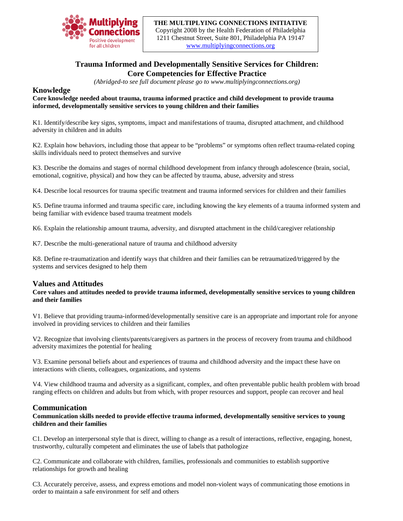

**THE MULTIPLYING CONNECTIONS INITIATIVE** Copyright 2008 by the Health Federation of Philadelphia 1211 Chestnut Street, Suite 801, Philadelphia PA 19147 [www.multiplyingconnections.org](http://www.multiplyingconnections.org/)

# **Trauma Informed and Developmentally Sensitive Services for Children: Core Competencies for Effective Practice**

*(Abridged-to see full document please go to www.multiplyingconnections.org)*

## **Knowledge**

#### **Core knowledge needed about trauma, trauma informed practice and child development to provide trauma informed, developmentally sensitive services to young children and their families**

K1. Identify/describe key signs, symptoms, impact and manifestations of trauma, disrupted attachment, and childhood adversity in children and in adults

K2. Explain how behaviors, including those that appear to be "problems" or symptoms often reflect trauma-related coping skills individuals need to protect themselves and survive

K3. Describe the domains and stages of normal childhood development from infancy through adolescence (brain, social, emotional, cognitive, physical) and how they can be affected by trauma, abuse, adversity and stress

K4. Describe local resources for trauma specific treatment and trauma informed services for children and their families

K5. Define trauma informed and trauma specific care, including knowing the key elements of a trauma informed system and being familiar with evidence based trauma treatment models

K6. Explain the relationship amount trauma, adversity, and disrupted attachment in the child/caregiver relationship

K7. Describe the multi-generational nature of trauma and childhood adversity

K8. Define re-traumatization and identify ways that children and their families can be retraumatized/triggered by the systems and services designed to help them

## **Values and Attitudes**

#### **Core values and attitudes needed to provide trauma informed, developmentally sensitive services to young children and their families**

V1. Believe that providing trauma-informed/developmentally sensitive care is an appropriate and important role for anyone involved in providing services to children and their families

V2. Recognize that involving clients/parents/caregivers as partners in the process of recovery from trauma and childhood adversity maximizes the potential for healing

V3. Examine personal beliefs about and experiences of trauma and childhood adversity and the impact these have on interactions with clients, colleagues, organizations, and systems

V4. View childhood trauma and adversity as a significant, complex, and often preventable public health problem with broad ranging effects on children and adults but from which, with proper resources and support, people can recover and heal

## **Communication**

**Communication skills needed to provide effective trauma informed, developmentally sensitive services to young children and their families**

C1. Develop an interpersonal style that is direct, willing to change as a result of interactions, reflective, engaging, honest, trustworthy, culturally competent and eliminates the use of labels that pathologize

C2. Communicate and collaborate with children, families, professionals and communities to establish supportive relationships for growth and healing

C3. Accurately perceive, assess, and express emotions and model non-violent ways of communicating those emotions in order to maintain a safe environment for self and others